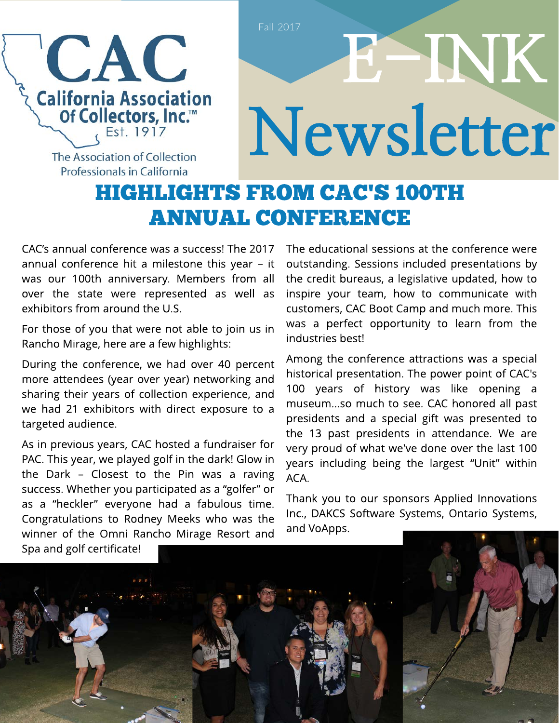

## E- INK Newsletter

The Association of Collection Professionals in California

## **HIGHLIGHTS FROM CAC'S 100TH ANNUAL CONFERENCE**

CAC?s annual conference was a success! The 2017 annual conference hit a milestone this year  $-$  it was our 100th anniversary. Members from all over the state were represented as well as exhibitors from around the U.S.

For those of you that were not able to join us in Rancho Mirage, here are a few highlights:

During the conference, we had over 40 percent more attendees (year over year) networking and sharing their years of collection experience, and we had 21 exhibitors with direct exposure to a targeted audience.

As in previous years, CAC hosted a fundraiser for PAC. This year, we played golf in the dark! Glow in the Dark  $-$  Closest to the Pin was a raving success. Whether you participated as a "golfer" or as a "heckler" everyone had a fabulous time. Congratulations to Rodney Meeks who was the winner of the Omni Rancho Mirage Resort and

The educational sessions at the conference were outstanding. Sessions included presentations by the credit bureaus, a legislative updated, how to inspire your team, how to communicate with customers, CAC Boot Camp and much more. This was a perfect opportunity to learn from the industries best!

Among the conference attractions was a special historical presentation. The power point of CAC's 100 years of history was like opening a museum...so much to see. CAC honored all past presidents and a special gift was presented to the 13 past presidents in attendance. We are very proud of what we've done over the last 100 years including being the largest "Unit" within ACA.

Thank you to our sponsors Applied Innovations Inc., DAKCS Software Systems, Ontario Systems, and VoApps.

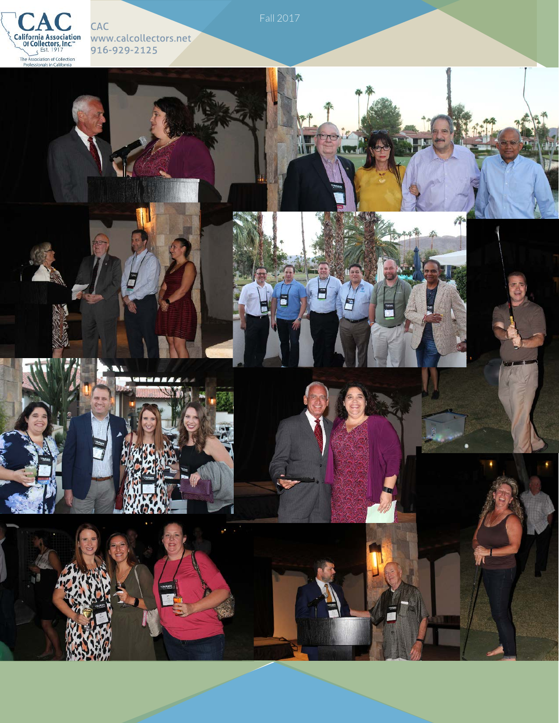

CAC www.calcollectors.net 916-929-2125